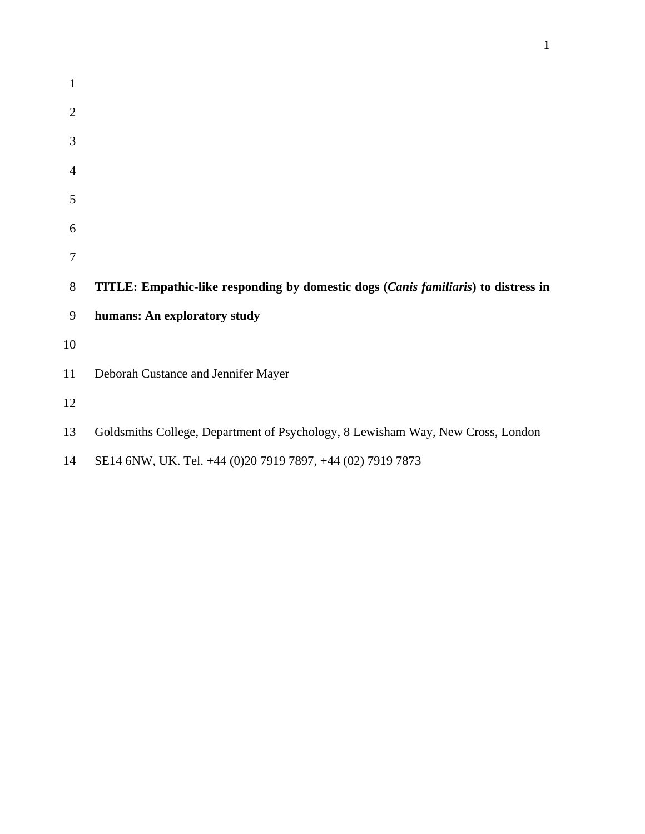| $\mathbf{1}$   |                                                                                    |
|----------------|------------------------------------------------------------------------------------|
| $\overline{2}$ |                                                                                    |
| 3              |                                                                                    |
| 4              |                                                                                    |
| 5              |                                                                                    |
| 6              |                                                                                    |
| 7              |                                                                                    |
| 8              | TITLE: Empathic-like responding by domestic dogs (Canis familiaris) to distress in |
| 9              | humans: An exploratory study                                                       |
| 10             |                                                                                    |
| 11             | Deborah Custance and Jennifer Mayer                                                |
| 12             |                                                                                    |
| 13             | Goldsmiths College, Department of Psychology, 8 Lewisham Way, New Cross, London    |
|                |                                                                                    |

14 SE14 6NW, UK. Tel. +44 (0)20 7919 7897, +44 (02) 7919 7873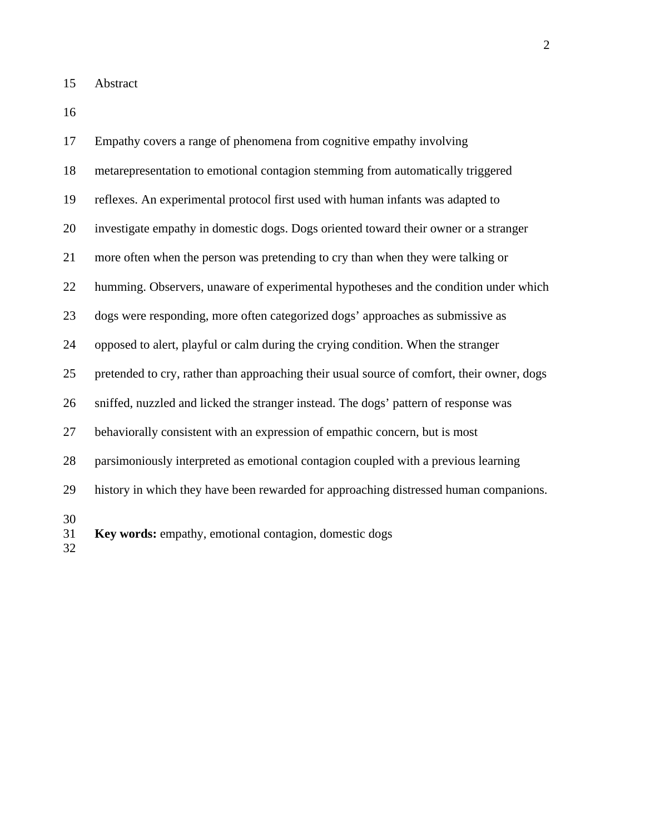15 Abstract

| 17             | Empathy covers a range of phenomena from cognitive empathy involving                       |  |  |
|----------------|--------------------------------------------------------------------------------------------|--|--|
| 18             | metarepresentation to emotional contagion stemming from automatically triggered            |  |  |
| 19             | reflexes. An experimental protocol first used with human infants was adapted to            |  |  |
| 20             | investigate empathy in domestic dogs. Dogs oriented toward their owner or a stranger       |  |  |
| 21             | more often when the person was pretending to cry than when they were talking or            |  |  |
| 22             | humming. Observers, unaware of experimental hypotheses and the condition under which       |  |  |
| 23             | dogs were responding, more often categorized dogs' approaches as submissive as             |  |  |
| 24             | opposed to alert, playful or calm during the crying condition. When the stranger           |  |  |
| 25             | pretended to cry, rather than approaching their usual source of comfort, their owner, dogs |  |  |
| 26             | sniffed, nuzzled and licked the stranger instead. The dogs' pattern of response was        |  |  |
| 27             | behaviorally consistent with an expression of empathic concern, but is most                |  |  |
| 28             | parsimoniously interpreted as emotional contagion coupled with a previous learning         |  |  |
| 29             | history in which they have been rewarded for approaching distressed human companions.      |  |  |
| 30<br>31<br>32 | Key words: empathy, emotional contagion, domestic dogs                                     |  |  |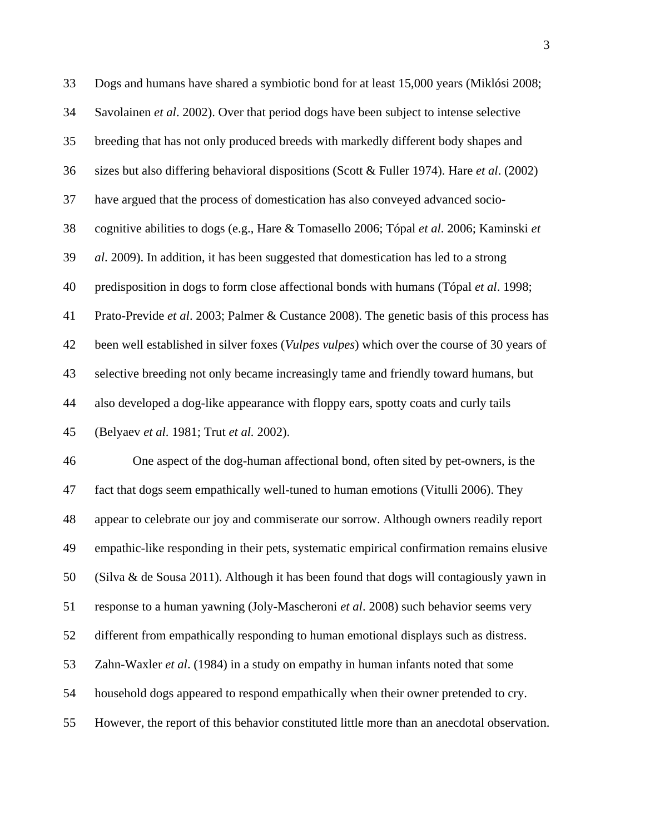33 Dogs and humans have shared a symbiotic bond for at least 15,000 years (Miklósi 2008; 34 Savolainen *et al*. 2002). Over that period dogs have been subject to intense selective 35 breeding that has not only produced breeds with markedly different body shapes and 36 sizes but also differing behavioral dispositions (Scott & Fuller 1974). Hare *et al*. (2002) 37 have argued that the process of domestication has also conveyed advanced socio-38 cognitive abilities to dogs (e.g., Hare & Tomasello 2006; Tópal *et al*. 2006; Kaminski *et*  39 *al*. 2009). In addition, it has been suggested that domestication has led to a strong 40 predisposition in dogs to form close affectional bonds with humans (Tópal *et al*. 1998; 41 Prato-Previde *et al*. 2003; Palmer & Custance 2008). The genetic basis of this process has 42 been well established in silver foxes (*Vulpes vulpes*) which over the course of 30 years of 43 selective breeding not only became increasingly tame and friendly toward humans, but 44 also developed a dog-like appearance with floppy ears, spotty coats and curly tails 45 (Belyaev *et al*. 1981; Trut *et al.* 2002). 46 One aspect of the dog-human affectional bond, often sited by pet-owners, is the

47 fact that dogs seem empathically well-tuned to human emotions (Vitulli 2006). They 48 appear to celebrate our joy and commiserate our sorrow. Although owners readily report 49 empathic-like responding in their pets, systematic empirical confirmation remains elusive 50 (Silva & de Sousa 2011). Although it has been found that dogs will contagiously yawn in 51 response to a human yawning (Joly-Mascheroni *et al*. 2008) such behavior seems very 52 different from empathically responding to human emotional displays such as distress. 53 Zahn-Waxler *et al*. (1984) in a study on empathy in human infants noted that some 54 household dogs appeared to respond empathically when their owner pretended to cry. 55 However, the report of this behavior constituted little more than an anecdotal observation.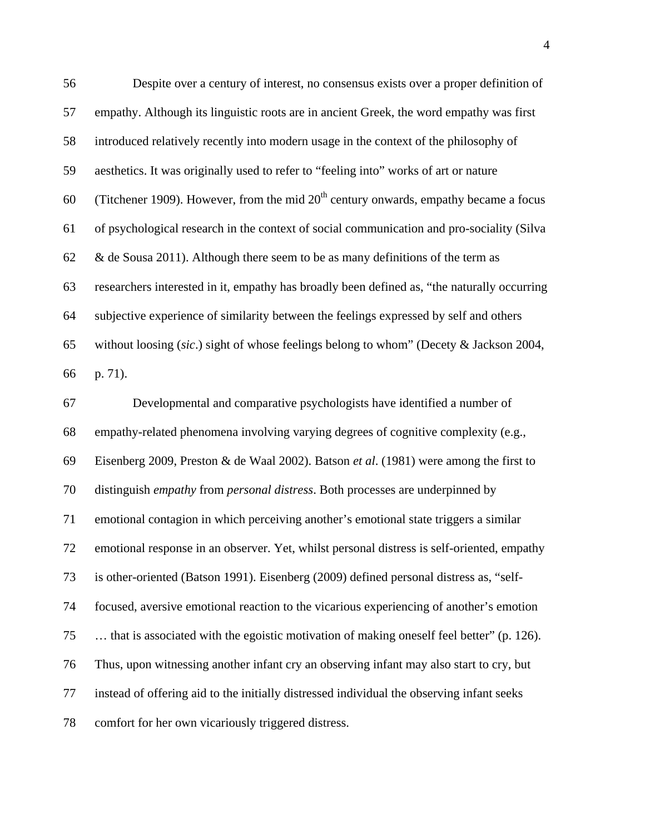56 Despite over a century of interest, no consensus exists over a proper definition of 57 empathy. Although its linguistic roots are in ancient Greek, the word empathy was first 58 introduced relatively recently into modern usage in the context of the philosophy of 59 aesthetics. It was originally used to refer to "feeling into" works of art or nature 60 (Titchener 1909). However, from the mid  $20<sup>th</sup>$  century onwards, empathy became a focus 61 of psychological research in the context of social communication and pro-sociality (Silva 62 & de Sousa 2011). Although there seem to be as many definitions of the term as 63 researchers interested in it, empathy has broadly been defined as, "the naturally occurring 64 subjective experience of similarity between the feelings expressed by self and others 65 without loosing (*sic*.) sight of whose feelings belong to whom" (Decety & Jackson 2004, 66 p. 71).

67 Developmental and comparative psychologists have identified a number of 68 empathy-related phenomena involving varying degrees of cognitive complexity (e.g., 69 Eisenberg 2009, Preston & de Waal 2002). Batson *et al*. (1981) were among the first to 70 distinguish *empathy* from *personal distress*. Both processes are underpinned by 71 emotional contagion in which perceiving another's emotional state triggers a similar 72 emotional response in an observer. Yet, whilst personal distress is self-oriented, empathy 73 is other-oriented (Batson 1991). Eisenberg (2009) defined personal distress as, "self-74 focused, aversive emotional reaction to the vicarious experiencing of another's emotion 75 … that is associated with the egoistic motivation of making oneself feel better" (p. 126). 76 Thus, upon witnessing another infant cry an observing infant may also start to cry, but 77 instead of offering aid to the initially distressed individual the observing infant seeks 78 comfort for her own vicariously triggered distress.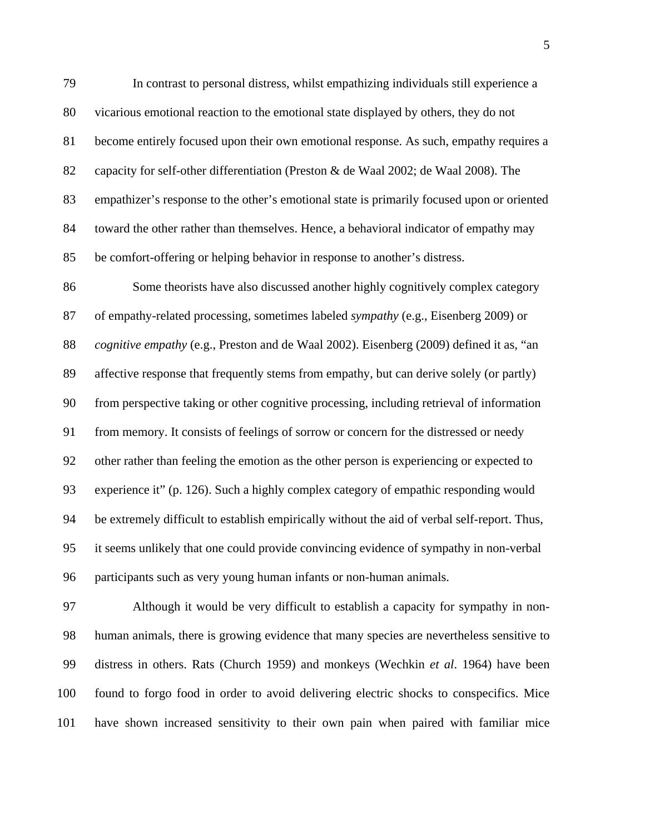79 In contrast to personal distress, whilst empathizing individuals still experience a 80 vicarious emotional reaction to the emotional state displayed by others, they do not 81 become entirely focused upon their own emotional response. As such, empathy requires a 82 capacity for self-other differentiation (Preston & de Waal 2002; de Waal 2008). The 83 empathizer's response to the other's emotional state is primarily focused upon or oriented 84 toward the other rather than themselves. Hence, a behavioral indicator of empathy may 85 be comfort-offering or helping behavior in response to another's distress.

86 Some theorists have also discussed another highly cognitively complex category 87 of empathy-related processing, sometimes labeled *sympathy* (e.g., Eisenberg 2009) or 88 *cognitive empathy* (e.g., Preston and de Waal 2002). Eisenberg (2009) defined it as, "an 89 affective response that frequently stems from empathy, but can derive solely (or partly) 90 from perspective taking or other cognitive processing, including retrieval of information 91 from memory. It consists of feelings of sorrow or concern for the distressed or needy 92 other rather than feeling the emotion as the other person is experiencing or expected to 93 experience it" (p. 126). Such a highly complex category of empathic responding would 94 be extremely difficult to establish empirically without the aid of verbal self-report. Thus, 95 it seems unlikely that one could provide convincing evidence of sympathy in non-verbal 96 participants such as very young human infants or non-human animals.

97 Although it would be very difficult to establish a capacity for sympathy in non-98 human animals, there is growing evidence that many species are nevertheless sensitive to 99 distress in others. Rats (Church 1959) and monkeys (Wechkin *et al*. 1964) have been 100 found to forgo food in order to avoid delivering electric shocks to conspecifics. Mice 101 have shown increased sensitivity to their own pain when paired with familiar mice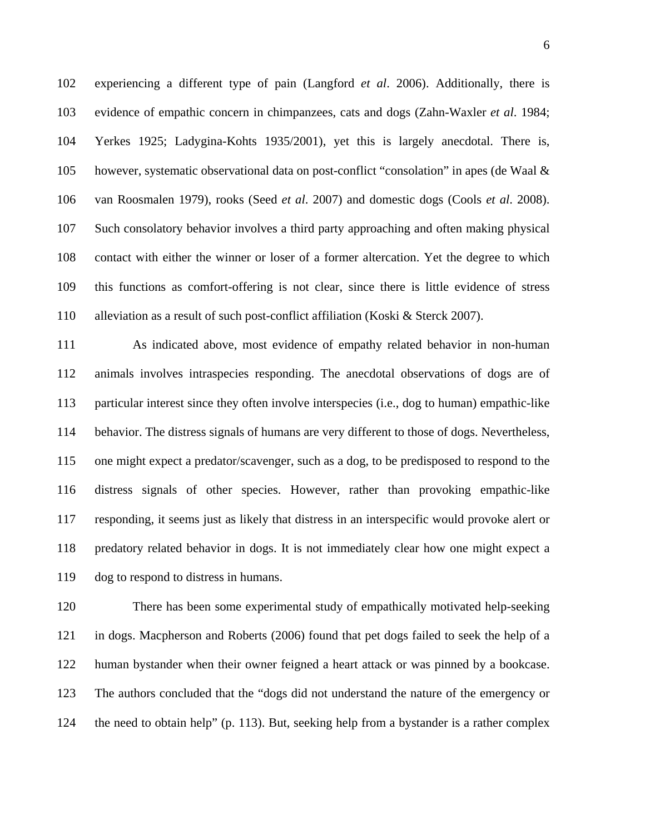102 experiencing a different type of pain (Langford *et al*. 2006). Additionally, there is 103 evidence of empathic concern in chimpanzees, cats and dogs (Zahn-Waxler *et al*. 1984; 104 Yerkes 1925; Ladygina-Kohts 1935/2001), yet this is largely anecdotal. There is, 105 however, systematic observational data on post-conflict "consolation" in apes (de Waal & 106 van Roosmalen 1979), rooks (Seed *et al*. 2007) and domestic dogs (Cools *et al*. 2008). 107 Such consolatory behavior involves a third party approaching and often making physical 108 contact with either the winner or loser of a former altercation. Yet the degree to which 109 this functions as comfort-offering is not clear, since there is little evidence of stress 110 alleviation as a result of such post-conflict affiliation (Koski & Sterck 2007).

111 As indicated above, most evidence of empathy related behavior in non-human 112 animals involves intraspecies responding. The anecdotal observations of dogs are of 113 particular interest since they often involve interspecies (i.e., dog to human) empathic-like 114 behavior. The distress signals of humans are very different to those of dogs. Nevertheless, 115 one might expect a predator/scavenger, such as a dog, to be predisposed to respond to the 116 distress signals of other species. However, rather than provoking empathic-like 117 responding, it seems just as likely that distress in an interspecific would provoke alert or 118 predatory related behavior in dogs. It is not immediately clear how one might expect a 119 dog to respond to distress in humans.

120 There has been some experimental study of empathically motivated help-seeking 121 in dogs. Macpherson and Roberts (2006) found that pet dogs failed to seek the help of a 122 human bystander when their owner feigned a heart attack or was pinned by a bookcase. 123 The authors concluded that the "dogs did not understand the nature of the emergency or 124 the need to obtain help" (p. 113). But, seeking help from a bystander is a rather complex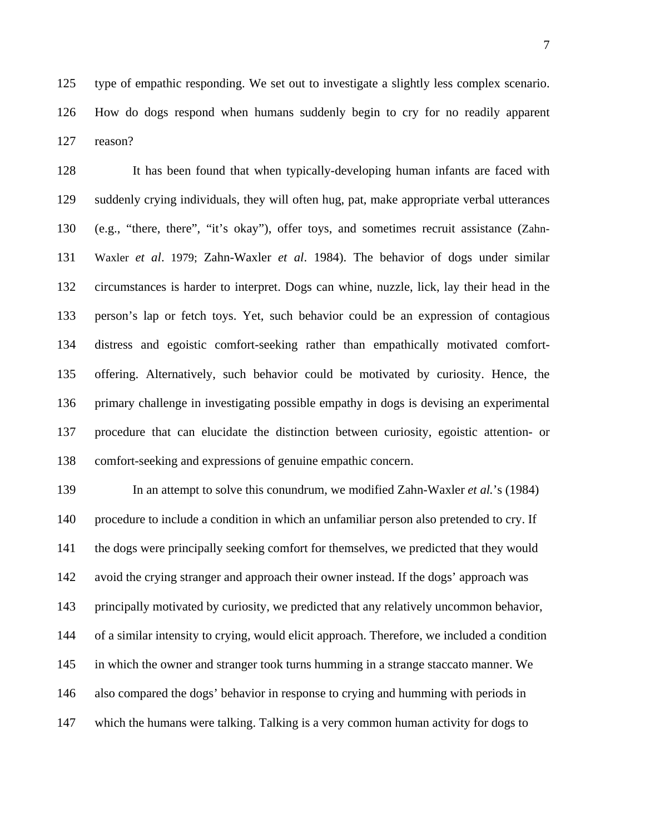125 type of empathic responding. We set out to investigate a slightly less complex scenario. 126 How do dogs respond when humans suddenly begin to cry for no readily apparent 127 reason?

128 It has been found that when typically-developing human infants are faced with 129 suddenly crying individuals, they will often hug, pat, make appropriate verbal utterances 130 (e.g., "there, there", "it's okay"), offer toys, and sometimes recruit assistance (Zahn-131 Waxler *et al*. 1979; Zahn-Waxler *et al*. 1984). The behavior of dogs under similar 132 circumstances is harder to interpret. Dogs can whine, nuzzle, lick, lay their head in the 133 person's lap or fetch toys. Yet, such behavior could be an expression of contagious 134 distress and egoistic comfort-seeking rather than empathically motivated comfort-135 offering. Alternatively, such behavior could be motivated by curiosity. Hence, the 136 primary challenge in investigating possible empathy in dogs is devising an experimental 137 procedure that can elucidate the distinction between curiosity, egoistic attention- or 138 comfort-seeking and expressions of genuine empathic concern.

139 In an attempt to solve this conundrum, we modified Zahn-Waxler *et al.*'s (1984) 140 procedure to include a condition in which an unfamiliar person also pretended to cry. If 141 the dogs were principally seeking comfort for themselves, we predicted that they would 142 avoid the crying stranger and approach their owner instead. If the dogs' approach was 143 principally motivated by curiosity, we predicted that any relatively uncommon behavior, 144 of a similar intensity to crying, would elicit approach. Therefore, we included a condition 145 in which the owner and stranger took turns humming in a strange staccato manner. We 146 also compared the dogs' behavior in response to crying and humming with periods in 147 which the humans were talking. Talking is a very common human activity for dogs to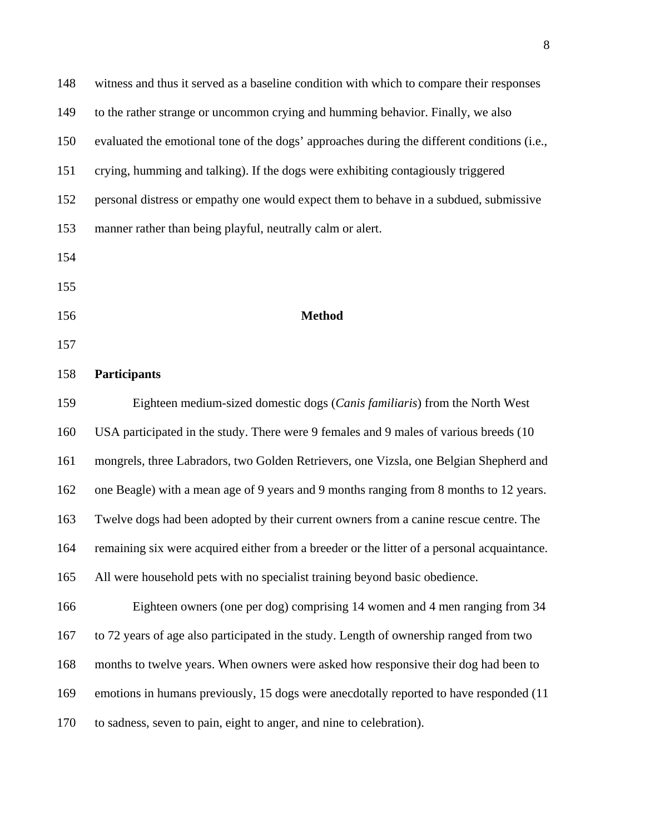| 148 | witness and thus it served as a baseline condition with which to compare their responses    |
|-----|---------------------------------------------------------------------------------------------|
| 149 | to the rather strange or uncommon crying and humming behavior. Finally, we also             |
| 150 | evaluated the emotional tone of the dogs' approaches during the different conditions (i.e., |
| 151 | crying, humming and talking). If the dogs were exhibiting contagiously triggered            |
| 152 | personal distress or empathy one would expect them to behave in a subdued, submissive       |
| 153 | manner rather than being playful, neutrally calm or alert.                                  |
| 154 |                                                                                             |
| 155 |                                                                                             |
| 156 | <b>Method</b>                                                                               |
| 157 |                                                                                             |
| 158 | <b>Participants</b>                                                                         |
| 159 | Eighteen medium-sized domestic dogs (Canis familiaris) from the North West                  |
| 160 | USA participated in the study. There were 9 females and 9 males of various breeds (10)      |
| 161 | mongrels, three Labradors, two Golden Retrievers, one Vizsla, one Belgian Shepherd and      |
| 162 | one Beagle) with a mean age of 9 years and 9 months ranging from 8 months to 12 years.      |
| 163 | Twelve dogs had been adopted by their current owners from a canine rescue centre. The       |
| 164 | remaining six were acquired either from a breeder or the litter of a personal acquaintance. |
| 165 | All were household pets with no specialist training beyond basic obedience.                 |
| 166 | Eighteen owners (one per dog) comprising 14 women and 4 men ranging from 34                 |
| 167 | to 72 years of age also participated in the study. Length of ownership ranged from two      |
| 168 | months to twelve years. When owners were asked how responsive their dog had been to         |
| 169 | emotions in humans previously, 15 dogs were anecdotally reported to have responded (11)     |
| 170 | to sadness, seven to pain, eight to anger, and nine to celebration).                        |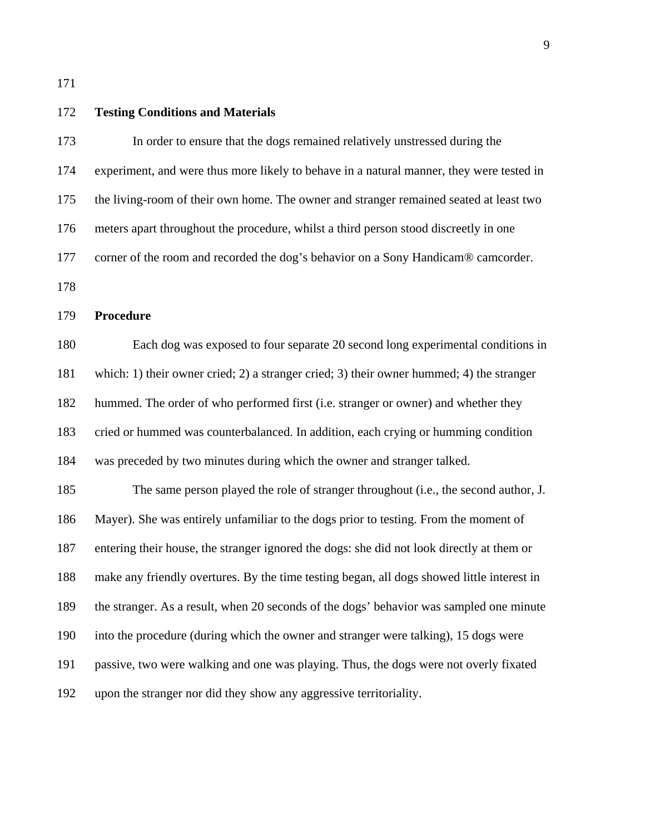# 172 **Testing Conditions and Materials**

| 173 | In order to ensure that the dogs remained relatively unstressed during the                 |
|-----|--------------------------------------------------------------------------------------------|
| 174 | experiment, and were thus more likely to behave in a natural manner, they were tested in   |
| 175 | the living-room of their own home. The owner and stranger remained seated at least two     |
| 176 | meters apart throughout the procedure, whilst a third person stood discreetly in one       |
| 177 | corner of the room and recorded the dog's behavior on a Sony Handicam® camcorder.          |
| 178 |                                                                                            |
| 179 | <b>Procedure</b>                                                                           |
| 180 | Each dog was exposed to four separate 20 second long experimental conditions in            |
| 181 | which: 1) their owner cried; 2) a stranger cried; 3) their owner hummed; 4) the stranger   |
| 182 | hummed. The order of who performed first (i.e. stranger or owner) and whether they         |
| 183 | cried or hummed was counterbalanced. In addition, each crying or humming condition         |
| 184 | was preceded by two minutes during which the owner and stranger talked.                    |
| 185 | The same person played the role of stranger throughout (i.e., the second author, J.        |
| 186 | Mayer). She was entirely unfamiliar to the dogs prior to testing. From the moment of       |
| 187 | entering their house, the stranger ignored the dogs: she did not look directly at them or  |
| 188 | make any friendly overtures. By the time testing began, all dogs showed little interest in |
| 189 | the stranger. As a result, when 20 seconds of the dogs' behavior was sampled one minute    |
| 190 | into the procedure (during which the owner and stranger were talking), 15 dogs were        |
| 191 | passive, two were walking and one was playing. Thus, the dogs were not overly fixated      |
| 192 | upon the stranger nor did they show any aggressive territoriality.                         |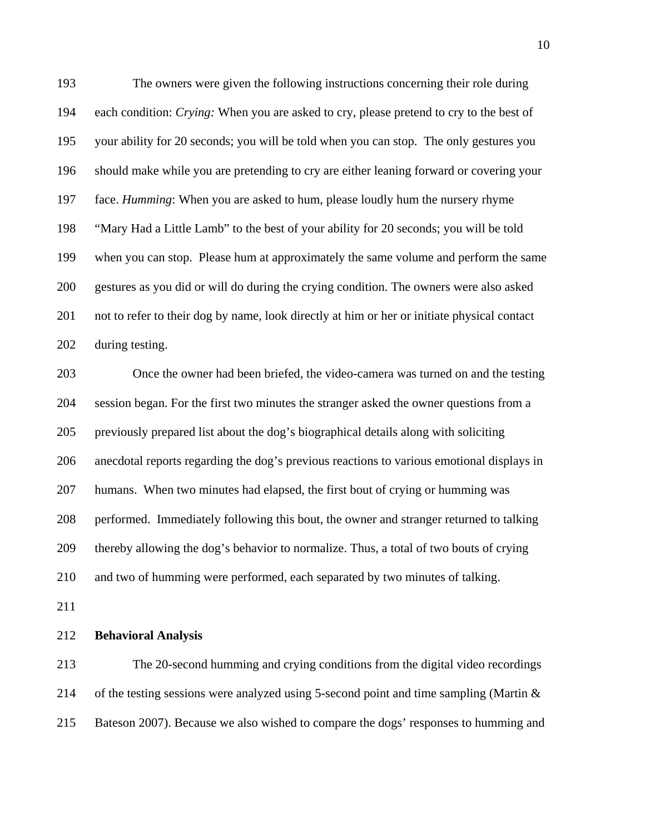193 The owners were given the following instructions concerning their role during 194 each condition: *Crying:* When you are asked to cry, please pretend to cry to the best of 195 your ability for 20 seconds; you will be told when you can stop. The only gestures you 196 should make while you are pretending to cry are either leaning forward or covering your 197 face. *Humming*: When you are asked to hum, please loudly hum the nursery rhyme 198 "Mary Had a Little Lamb" to the best of your ability for 20 seconds; you will be told 199 when you can stop. Please hum at approximately the same volume and perform the same 200 gestures as you did or will do during the crying condition. The owners were also asked 201 not to refer to their dog by name, look directly at him or her or initiate physical contact 202 during testing.

203 Once the owner had been briefed, the video-camera was turned on and the testing 204 session began. For the first two minutes the stranger asked the owner questions from a 205 previously prepared list about the dog's biographical details along with soliciting 206 anecdotal reports regarding the dog's previous reactions to various emotional displays in 207 humans. When two minutes had elapsed, the first bout of crying or humming was 208 performed. Immediately following this bout, the owner and stranger returned to talking 209 thereby allowing the dog's behavior to normalize. Thus, a total of two bouts of crying 210 and two of humming were performed, each separated by two minutes of talking.

211

#### 212 **Behavioral Analysis**

213 The 20-second humming and crying conditions from the digital video recordings 214 of the testing sessions were analyzed using 5-second point and time sampling (Martin & 215 Bateson 2007). Because we also wished to compare the dogs' responses to humming and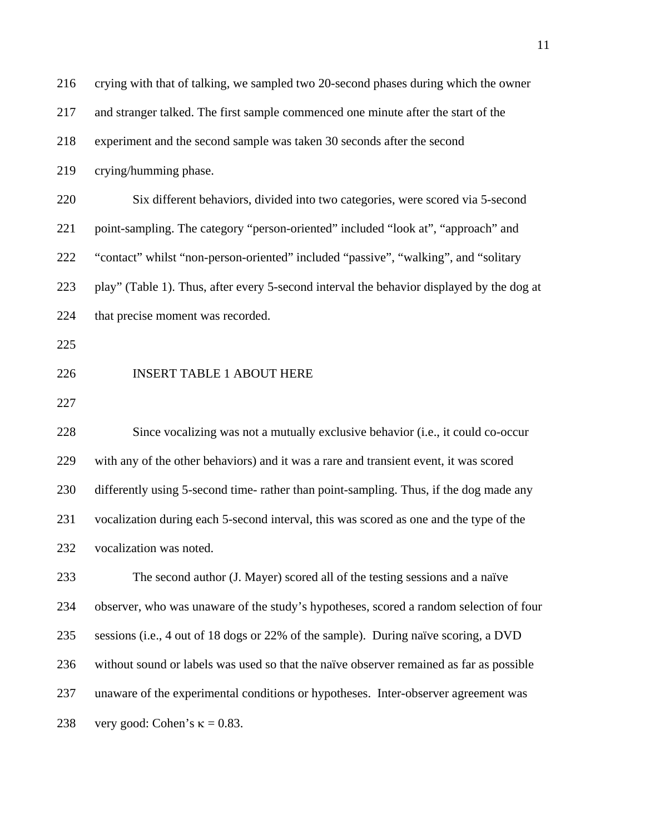| crying with that of talking, we sampled two 20-second phases during which the owner       |  |  |  |
|-------------------------------------------------------------------------------------------|--|--|--|
| and stranger talked. The first sample commenced one minute after the start of the         |  |  |  |
| experiment and the second sample was taken 30 seconds after the second                    |  |  |  |
| crying/humming phase.                                                                     |  |  |  |
| Six different behaviors, divided into two categories, were scored via 5-second            |  |  |  |
| point-sampling. The category "person-oriented" included "look at", "approach" and         |  |  |  |
| "contact" whilst "non-person-oriented" included "passive", "walking", and "solitary       |  |  |  |
| play" (Table 1). Thus, after every 5-second interval the behavior displayed by the dog at |  |  |  |
| that precise moment was recorded.                                                         |  |  |  |
|                                                                                           |  |  |  |
| <b>INSERT TABLE 1 ABOUT HERE</b>                                                          |  |  |  |
|                                                                                           |  |  |  |
|                                                                                           |  |  |  |
| Since vocalizing was not a mutually exclusive behavior (i.e., it could co-occur           |  |  |  |
| with any of the other behaviors) and it was a rare and transient event, it was scored     |  |  |  |
| differently using 5-second time- rather than point-sampling. Thus, if the dog made any    |  |  |  |
| vocalization during each 5-second interval, this was scored as one and the type of the    |  |  |  |
| vocalization was noted.                                                                   |  |  |  |
| The second author (J. Mayer) scored all of the testing sessions and a naïve               |  |  |  |
| observer, who was unaware of the study's hypotheses, scored a random selection of four    |  |  |  |
| sessions (i.e., 4 out of 18 dogs or 22% of the sample). During naïve scoring, a DVD       |  |  |  |
| without sound or labels was used so that the naïve observer remained as far as possible   |  |  |  |
| unaware of the experimental conditions or hypotheses. Inter-observer agreement was        |  |  |  |
|                                                                                           |  |  |  |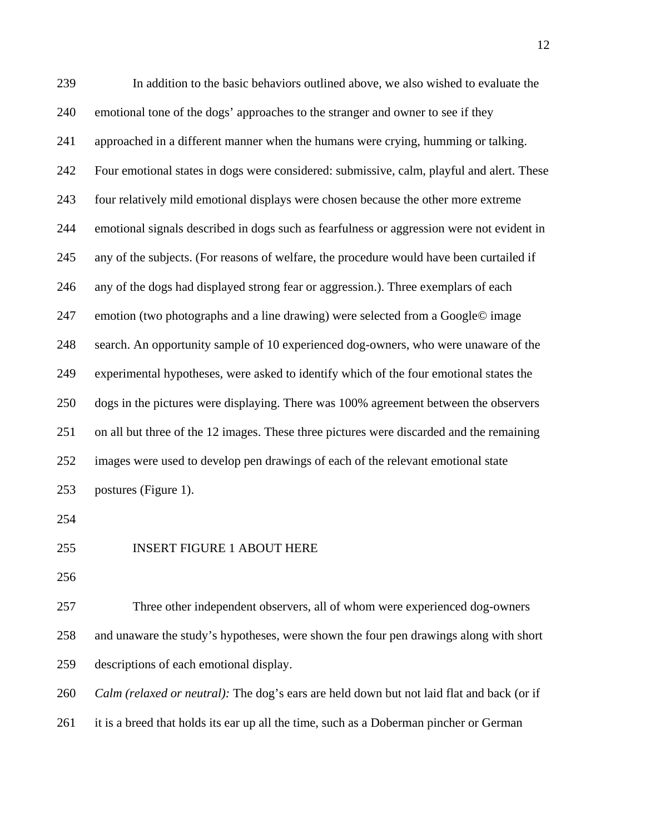239 In addition to the basic behaviors outlined above, we also wished to evaluate the 240 emotional tone of the dogs' approaches to the stranger and owner to see if they 241 approached in a different manner when the humans were crying, humming or talking. 242 Four emotional states in dogs were considered: submissive, calm, playful and alert. These 243 four relatively mild emotional displays were chosen because the other more extreme 244 emotional signals described in dogs such as fearfulness or aggression were not evident in 245 any of the subjects. (For reasons of welfare, the procedure would have been curtailed if 246 any of the dogs had displayed strong fear or aggression.). Three exemplars of each 247 emotion (two photographs and a line drawing) were selected from a Google© image 248 search. An opportunity sample of 10 experienced dog-owners, who were unaware of the 249 experimental hypotheses, were asked to identify which of the four emotional states the 250 dogs in the pictures were displaying. There was 100% agreement between the observers 251 on all but three of the 12 images. These three pictures were discarded and the remaining 252 images were used to develop pen drawings of each of the relevant emotional state 253 postures (Figure 1). 254 255 INSERT FIGURE 1 ABOUT HERE 256 257 Three other independent observers, all of whom were experienced dog-owners 258 and unaware the study's hypotheses, were shown the four pen drawings along with short

259 descriptions of each emotional display.

260 *Calm (relaxed or neutral):* The dog's ears are held down but not laid flat and back (or if

261 it is a breed that holds its ear up all the time, such as a Doberman pincher or German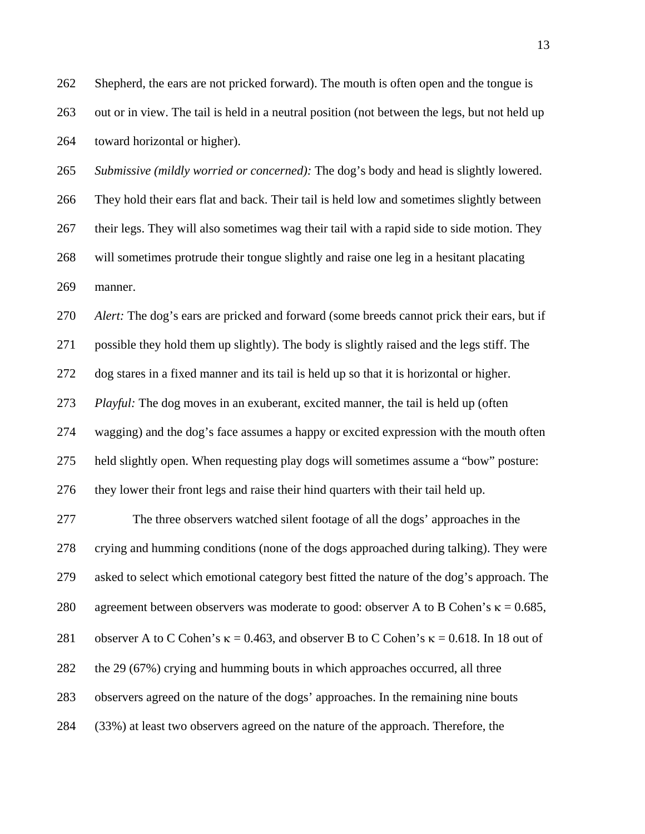262 Shepherd, the ears are not pricked forward). The mouth is often open and the tongue is 263 out or in view. The tail is held in a neutral position (not between the legs, but not held up 264 toward horizontal or higher).

265 *Submissive (mildly worried or concerned):* The dog's body and head is slightly lowered. 266 They hold their ears flat and back. Their tail is held low and sometimes slightly between 267 their legs. They will also sometimes wag their tail with a rapid side to side motion. They 268 will sometimes protrude their tongue slightly and raise one leg in a hesitant placating 269 manner.

270 *Alert:* The dog's ears are pricked and forward (some breeds cannot prick their ears, but if

271 possible they hold them up slightly). The body is slightly raised and the legs stiff. The

272 dog stares in a fixed manner and its tail is held up so that it is horizontal or higher.

273 *Playful:* The dog moves in an exuberant, excited manner, the tail is held up (often

274 wagging) and the dog's face assumes a happy or excited expression with the mouth often

275 held slightly open. When requesting play dogs will sometimes assume a "bow" posture:

276 they lower their front legs and raise their hind quarters with their tail held up.

277 The three observers watched silent footage of all the dogs' approaches in the 278 crying and humming conditions (none of the dogs approached during talking). They were 279 asked to select which emotional category best fitted the nature of the dog's approach. The 280 agreement between observers was moderate to good: observer A to B Cohen's  $\kappa = 0.685$ , 281 observer A to C Cohen's  $\kappa = 0.463$ , and observer B to C Cohen's  $\kappa = 0.618$ . In 18 out of 282 the 29 (67%) crying and humming bouts in which approaches occurred, all three 283 observers agreed on the nature of the dogs' approaches. In the remaining nine bouts 284 (33%) at least two observers agreed on the nature of the approach. Therefore, the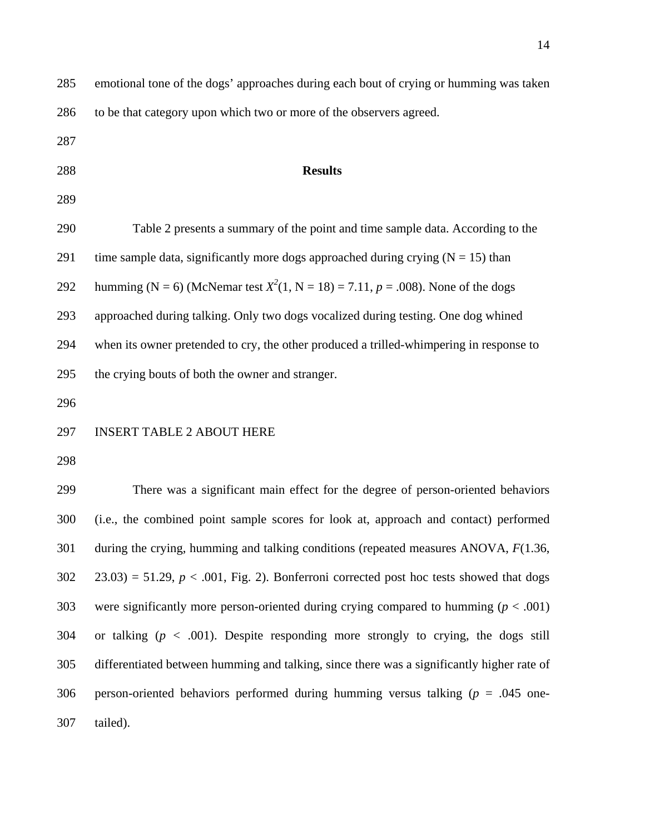| 285 | emotional tone of the dogs' approaches during each bout of crying or humming was taken         |
|-----|------------------------------------------------------------------------------------------------|
| 286 | to be that category upon which two or more of the observers agreed.                            |
| 287 |                                                                                                |
| 288 | <b>Results</b>                                                                                 |
| 289 |                                                                                                |
| 290 | Table 2 presents a summary of the point and time sample data. According to the                 |
| 291 | time sample data, significantly more dogs approached during crying $(N = 15)$ than             |
| 292 | humming (N = 6) (McNemar test $X^2(1, N = 18) = 7.11$ , $p = .008$ ). None of the dogs         |
| 293 | approached during talking. Only two dogs vocalized during testing. One dog whined              |
| 294 | when its owner pretended to cry, the other produced a trilled-whimpering in response to        |
| 295 | the crying bouts of both the owner and stranger.                                               |
| 296 |                                                                                                |
| 297 | <b>INSERT TABLE 2 ABOUT HERE</b>                                                               |
| 298 |                                                                                                |
| 299 | There was a significant main effect for the degree of person-oriented behaviors                |
| 300 | (i.e., the combined point sample scores for look at, approach and contact) performed           |
| 301 | during the crying, humming and talking conditions (repeated measures ANOVA, $F(1.36,$          |
| 302 | $(23.03) = 51.29$ , $p < .001$ , Fig. 2). Bonferroni corrected post hoc tests showed that dogs |
| 303 | were significantly more person-oriented during crying compared to humming ( $p < .001$ )       |
| 304 | or talking ( $p < .001$ ). Despite responding more strongly to crying, the dogs still          |
| 305 | differentiated between humming and talking, since there was a significantly higher rate of     |
| 306 | person-oriented behaviors performed during humming versus talking ( $p = .045$ one-            |
| 307 | tailed).                                                                                       |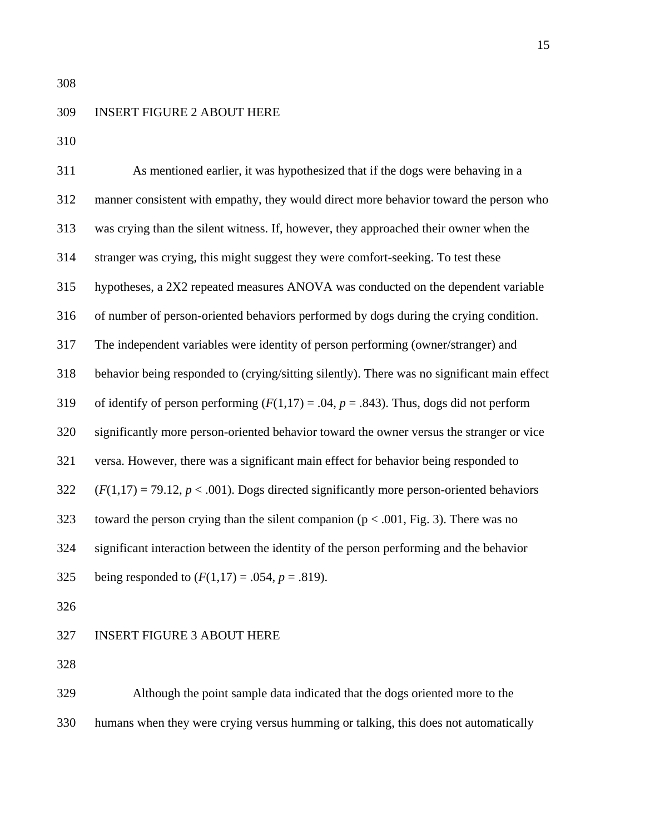# 309 INSERT FIGURE 2 ABOUT HERE

310

| 311 | As mentioned earlier, it was hypothesized that if the dogs were behaving in a               |
|-----|---------------------------------------------------------------------------------------------|
| 312 | manner consistent with empathy, they would direct more behavior toward the person who       |
| 313 | was crying than the silent witness. If, however, they approached their owner when the       |
| 314 | stranger was crying, this might suggest they were comfort-seeking. To test these            |
| 315 | hypotheses, a 2X2 repeated measures ANOVA was conducted on the dependent variable           |
| 316 | of number of person-oriented behaviors performed by dogs during the crying condition.       |
| 317 | The independent variables were identity of person performing (owner/stranger) and           |
| 318 | behavior being responded to (crying/sitting silently). There was no significant main effect |
| 319 | of identify of person performing $(F(1,17) = .04, p = .843)$ . Thus, dogs did not perform   |
| 320 | significantly more person-oriented behavior toward the owner versus the stranger or vice    |
| 321 | versa. However, there was a significant main effect for behavior being responded to         |
| 322 | $(F(1,17) = 79.12, p < .001)$ . Dogs directed significantly more person-oriented behaviors  |
| 323 | toward the person crying than the silent companion ( $p < .001$ , Fig. 3). There was no     |
| 324 | significant interaction between the identity of the person performing and the behavior      |
| 325 | being responded to $(F(1,17) = .054, p = .819)$ .                                           |
| 326 |                                                                                             |
|     |                                                                                             |

## 327 INSERT FIGURE 3 ABOUT HERE

328

329 Although the point sample data indicated that the dogs oriented more to the 330 humans when they were crying versus humming or talking, this does not automatically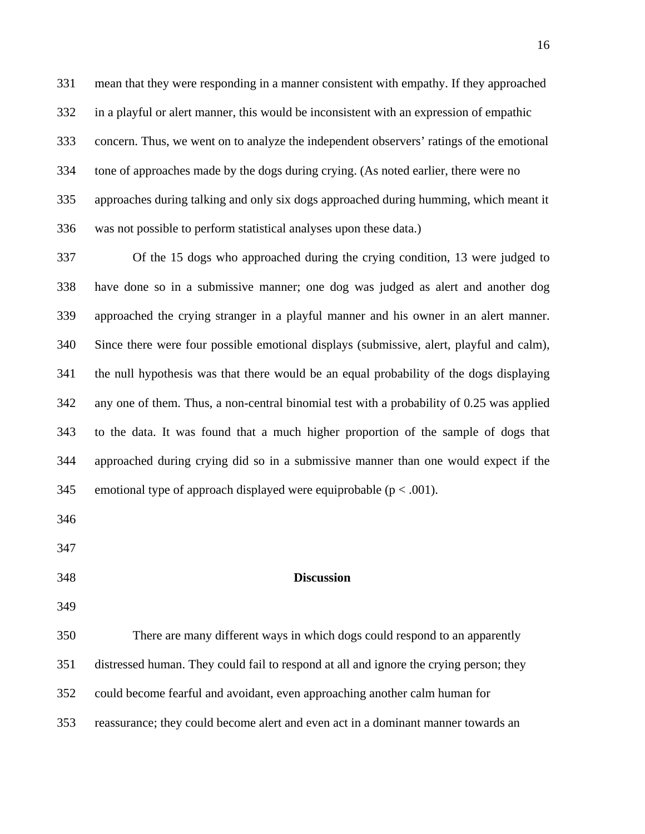331 mean that they were responding in a manner consistent with empathy. If they approached 332 in a playful or alert manner, this would be inconsistent with an expression of empathic 333 concern. Thus, we went on to analyze the independent observers' ratings of the emotional 334 tone of approaches made by the dogs during crying. (As noted earlier, there were no 335 approaches during talking and only six dogs approached during humming, which meant it 336 was not possible to perform statistical analyses upon these data.)

337 Of the 15 dogs who approached during the crying condition, 13 were judged to 338 have done so in a submissive manner; one dog was judged as alert and another dog 339 approached the crying stranger in a playful manner and his owner in an alert manner. 340 Since there were four possible emotional displays (submissive, alert, playful and calm), 341 the null hypothesis was that there would be an equal probability of the dogs displaying 342 any one of them. Thus, a non-central binomial test with a probability of 0.25 was applied 343 to the data. It was found that a much higher proportion of the sample of dogs that 344 approached during crying did so in a submissive manner than one would expect if the 345 emotional type of approach displayed were equiprobable ( $p < .001$ ).

346

347

#### 348 **Discussion**

349

350 There are many different ways in which dogs could respond to an apparently 351 distressed human. They could fail to respond at all and ignore the crying person; they 352 could become fearful and avoidant, even approaching another calm human for 353 reassurance; they could become alert and even act in a dominant manner towards an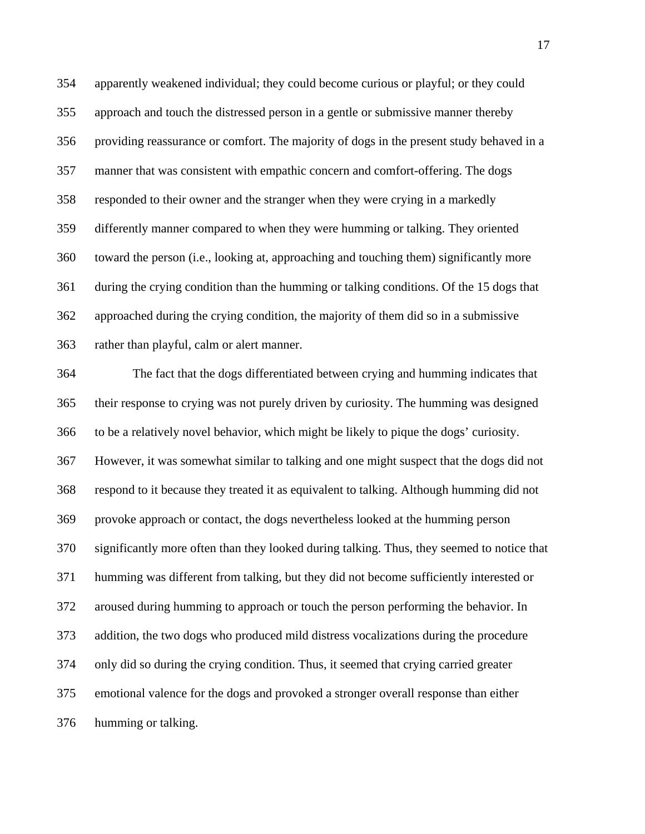354 apparently weakened individual; they could become curious or playful; or they could 355 approach and touch the distressed person in a gentle or submissive manner thereby 356 providing reassurance or comfort. The majority of dogs in the present study behaved in a 357 manner that was consistent with empathic concern and comfort-offering. The dogs 358 responded to their owner and the stranger when they were crying in a markedly 359 differently manner compared to when they were humming or talking. They oriented 360 toward the person (i.e., looking at, approaching and touching them) significantly more 361 during the crying condition than the humming or talking conditions. Of the 15 dogs that 362 approached during the crying condition, the majority of them did so in a submissive 363 rather than playful, calm or alert manner.

364 The fact that the dogs differentiated between crying and humming indicates that 365 their response to crying was not purely driven by curiosity. The humming was designed 366 to be a relatively novel behavior, which might be likely to pique the dogs' curiosity. 367 However, it was somewhat similar to talking and one might suspect that the dogs did not 368 respond to it because they treated it as equivalent to talking. Although humming did not 369 provoke approach or contact, the dogs nevertheless looked at the humming person 370 significantly more often than they looked during talking. Thus, they seemed to notice that 371 humming was different from talking, but they did not become sufficiently interested or 372 aroused during humming to approach or touch the person performing the behavior. In 373 addition, the two dogs who produced mild distress vocalizations during the procedure 374 only did so during the crying condition. Thus, it seemed that crying carried greater 375 emotional valence for the dogs and provoked a stronger overall response than either 376 humming or talking.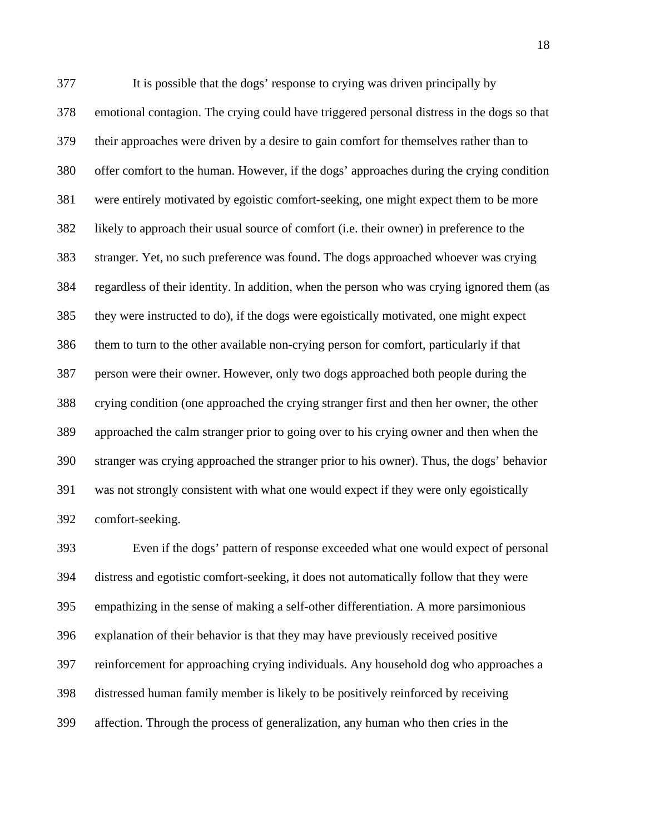377 It is possible that the dogs' response to crying was driven principally by 378 emotional contagion. The crying could have triggered personal distress in the dogs so that 379 their approaches were driven by a desire to gain comfort for themselves rather than to 380 offer comfort to the human. However, if the dogs' approaches during the crying condition 381 were entirely motivated by egoistic comfort-seeking, one might expect them to be more 382 likely to approach their usual source of comfort (i.e. their owner) in preference to the 383 stranger. Yet, no such preference was found. The dogs approached whoever was crying 384 regardless of their identity. In addition, when the person who was crying ignored them (as 385 they were instructed to do), if the dogs were egoistically motivated, one might expect 386 them to turn to the other available non-crying person for comfort, particularly if that 387 person were their owner. However, only two dogs approached both people during the 388 crying condition (one approached the crying stranger first and then her owner, the other 389 approached the calm stranger prior to going over to his crying owner and then when the 390 stranger was crying approached the stranger prior to his owner). Thus, the dogs' behavior 391 was not strongly consistent with what one would expect if they were only egoistically 392 comfort-seeking.

393 Even if the dogs' pattern of response exceeded what one would expect of personal 394 distress and egotistic comfort-seeking, it does not automatically follow that they were 395 empathizing in the sense of making a self-other differentiation. A more parsimonious 396 explanation of their behavior is that they may have previously received positive 397 reinforcement for approaching crying individuals. Any household dog who approaches a 398 distressed human family member is likely to be positively reinforced by receiving 399 affection. Through the process of generalization, any human who then cries in the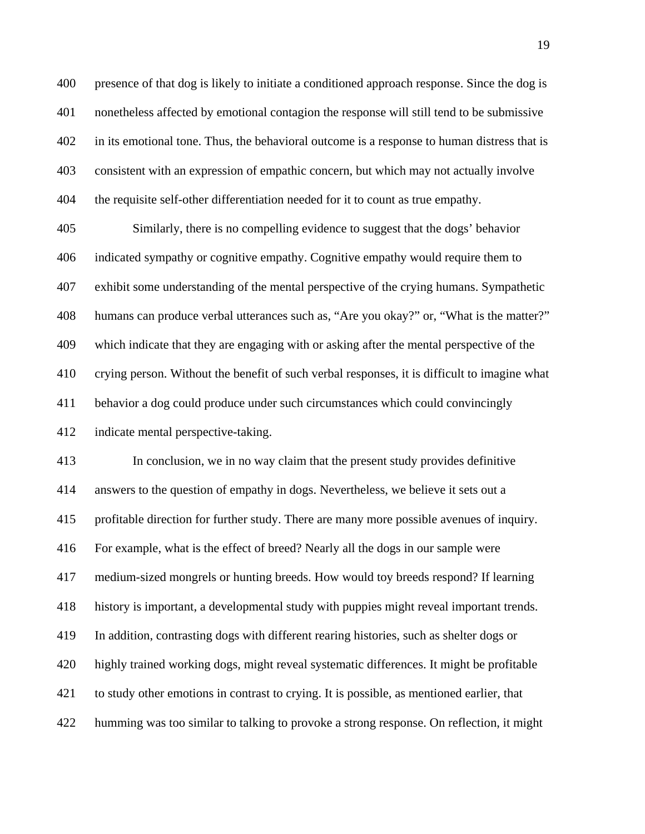400 presence of that dog is likely to initiate a conditioned approach response. Since the dog is 401 nonetheless affected by emotional contagion the response will still tend to be submissive 402 in its emotional tone. Thus, the behavioral outcome is a response to human distress that is 403 consistent with an expression of empathic concern, but which may not actually involve 404 the requisite self-other differentiation needed for it to count as true empathy.

405 Similarly, there is no compelling evidence to suggest that the dogs' behavior 406 indicated sympathy or cognitive empathy. Cognitive empathy would require them to 407 exhibit some understanding of the mental perspective of the crying humans. Sympathetic 408 humans can produce verbal utterances such as, "Are you okay?" or, "What is the matter?" 409 which indicate that they are engaging with or asking after the mental perspective of the 410 crying person. Without the benefit of such verbal responses, it is difficult to imagine what 411 behavior a dog could produce under such circumstances which could convincingly 412 indicate mental perspective-taking.

413 In conclusion, we in no way claim that the present study provides definitive 414 answers to the question of empathy in dogs. Nevertheless, we believe it sets out a 415 profitable direction for further study. There are many more possible avenues of inquiry. 416 For example, what is the effect of breed? Nearly all the dogs in our sample were 417 medium-sized mongrels or hunting breeds. How would toy breeds respond? If learning 418 history is important, a developmental study with puppies might reveal important trends. 419 In addition, contrasting dogs with different rearing histories, such as shelter dogs or 420 highly trained working dogs, might reveal systematic differences. It might be profitable 421 to study other emotions in contrast to crying. It is possible, as mentioned earlier, that 422 humming was too similar to talking to provoke a strong response. On reflection, it might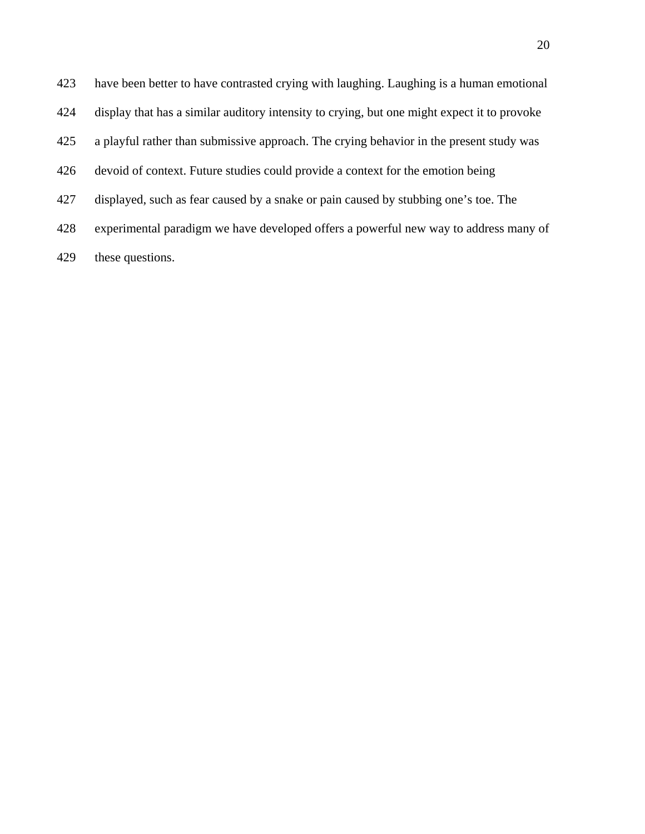423 have been better to have contrasted crying with laughing. Laughing is a human emotional 424 display that has a similar auditory intensity to crying, but one might expect it to provoke 425 a playful rather than submissive approach. The crying behavior in the present study was 426 devoid of context. Future studies could provide a context for the emotion being 427 displayed, such as fear caused by a snake or pain caused by stubbing one's toe. The 428 experimental paradigm we have developed offers a powerful new way to address many of

429 these questions.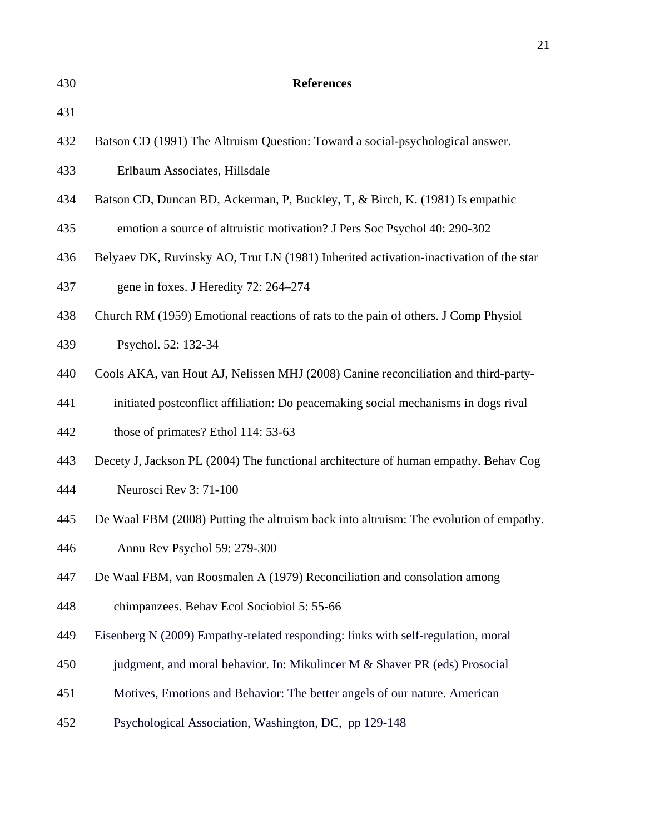| 430 | <b>References</b>                                                                     |
|-----|---------------------------------------------------------------------------------------|
| 431 |                                                                                       |
| 432 | Batson CD (1991) The Altruism Question: Toward a social-psychological answer.         |
| 433 | Erlbaum Associates, Hillsdale                                                         |
| 434 | Batson CD, Duncan BD, Ackerman, P, Buckley, T, & Birch, K. (1981) Is empathic         |
| 435 | emotion a source of altruistic motivation? J Pers Soc Psychol 40: 290-302             |
| 436 | Belyaev DK, Ruvinsky AO, Trut LN (1981) Inherited activation-inactivation of the star |
| 437 | gene in foxes. J Heredity 72: 264–274                                                 |
| 438 | Church RM (1959) Emotional reactions of rats to the pain of others. J Comp Physiol    |
| 439 | Psychol. 52: 132-34                                                                   |
| 440 | Cools AKA, van Hout AJ, Nelissen MHJ (2008) Canine reconciliation and third-party-    |
| 441 | initiated postconflict affiliation: Do peacemaking social mechanisms in dogs rival    |
| 442 | those of primates? Ethol 114: 53-63                                                   |
| 443 | Decety J, Jackson PL (2004) The functional architecture of human empathy. Behav Cog   |
| 444 | Neurosci Rev 3: 71-100                                                                |
| 445 | De Waal FBM (2008) Putting the altruism back into altruism: The evolution of empathy. |
| 446 | Annu Rev Psychol 59: 279-300                                                          |
| 447 | De Waal FBM, van Roosmalen A (1979) Reconciliation and consolation among              |
| 448 | chimpanzees. Behav Ecol Sociobiol 5: 55-66                                            |
| 449 | Eisenberg N (2009) Empathy-related responding: links with self-regulation, moral      |
| 450 | judgment, and moral behavior. In: Mikulincer M & Shaver PR (eds) Prosocial            |
| 451 | Motives, Emotions and Behavior: The better angels of our nature. American             |
| 452 | Psychological Association, Washington, DC, pp 129-148                                 |
|     |                                                                                       |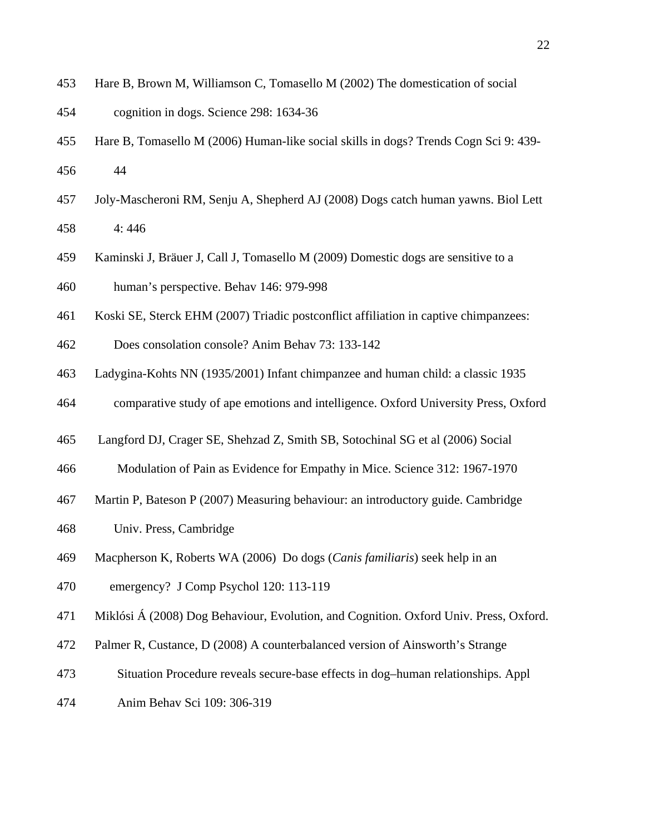- 453 Hare B, Brown M, Williamson C, Tomasello M (2002) The domestication of social
- 454 cognition in dogs. Science 298: 1634-36
- 455 Hare B, Tomasello M (2006) Human-like social skills in dogs? Trends Cogn Sci 9: 439- 456 44
- 457 Joly-Mascheroni RM, Senju A, Shepherd AJ (2008) Dogs catch human yawns. Biol Lett
- 458 4: 446
- 459 Kaminski J, Bräuer J, Call J, Tomasello M (2009) Domestic dogs are sensitive to a
- 460 human's perspective. Behav 146: 979-998
- 461 Koski SE, Sterck EHM (2007) Triadic postconflict affiliation in captive chimpanzees:
- 462 Does consolation console? Anim Behav 73: 133-142
- 463 Ladygina-Kohts NN (1935/2001) Infant chimpanzee and human child: a classic 1935
- 464 comparative study of ape emotions and intelligence. Oxford University Press, Oxford
- 465 Langford DJ, Crager SE, Shehzad Z, Smith SB, Sotochinal SG et al (2006) Social
- 466 Modulation of Pain as Evidence for Empathy in Mice. Science 312: 1967-1970
- 467 Martin P, Bateson P (2007) Measuring behaviour: an introductory guide. Cambridge
- 468 Univ. Press, Cambridge
- 469 Macpherson K, Roberts WA (2006) Do dogs (*Canis familiaris*) seek help in an
- 470 emergency? J Comp Psychol 120: 113-119
- 471 Miklósi Á (2008) Dog Behaviour, Evolution, and Cognition. Oxford Univ. Press, Oxford.
- 472 Palmer R, Custance, D (2008) A counterbalanced version of Ainsworth's Strange
- 473 Situation Procedure reveals secure-base effects in dog–human relationships. Appl
- 474 Anim Behav Sci 109: 306-319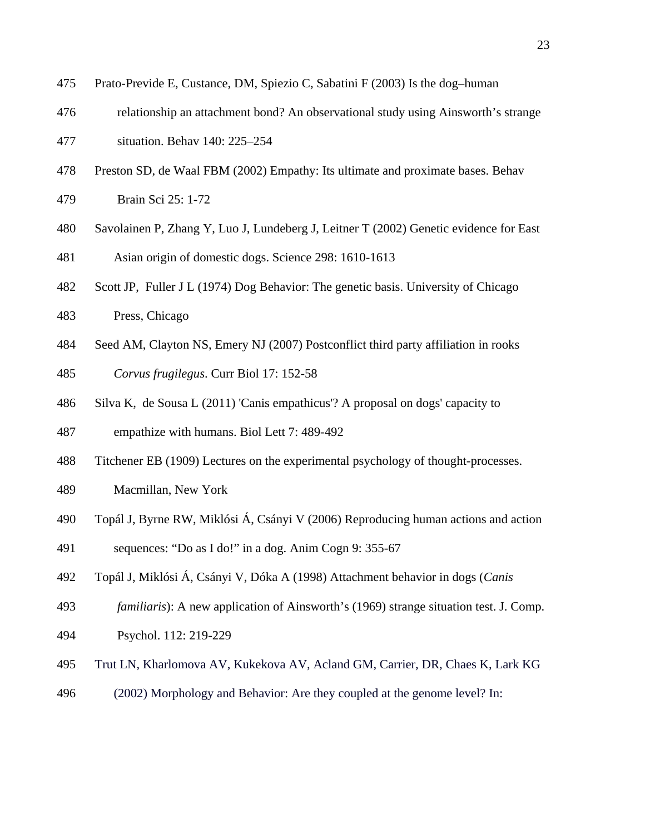- 475 Prato-Previde E, Custance, DM, Spiezio C, Sabatini F (2003) Is the dog–human
- 476 relationship an attachment bond? An observational study using Ainsworth's strange
- 477 situation. Behav 140: 225–254
- 478 Preston SD, de Waal FBM (2002) Empathy: Its ultimate and proximate bases. Behav
- 479 Brain Sci 25: 1-72
- 480 Savolainen P, Zhang Y, Luo J, Lundeberg J, Leitner T (2002) Genetic evidence for East
- 481 Asian origin of domestic dogs. Science 298: 1610-1613
- 482 Scott JP, Fuller J L (1974) Dog Behavior: The genetic basis. University of Chicago
- 483 Press, Chicago
- 484 Seed AM, Clayton NS, Emery NJ (2007) Postconflict third party affiliation in rooks
- 485 *Corvus frugilegus*. Curr Biol 17: 152-58
- 486 Silva K, de Sousa L (2011) 'Canis empathicus'? A proposal on dogs' capacity to
- 487 empathize with humans. Biol Lett 7: 489-492
- 488 Titchener EB (1909) Lectures on the experimental psychology of thought-processes.
- 489 Macmillan, New York
- 490 Topál J, Byrne RW, Miklósi Á, Csányi V (2006) Reproducing human actions and action
- 491 sequences: "Do as I do!" in a dog. Anim Cogn 9: 355-67
- 492 Topál J, Miklósi Á, Csányi V, Dóka A (1998) Attachment behavior in dogs (*Canis*
- 493 *familiaris*): A new application of Ainsworth's (1969) strange situation test. J. Comp.
- 494 Psychol. 112: 219-229
- 495 Trut LN, Kharlomova AV, Kukekova AV, Acland GM, Carrier, DR, Chaes K, Lark KG
- 496 (2002) Morphology and Behavior: Are they coupled at the genome level? In: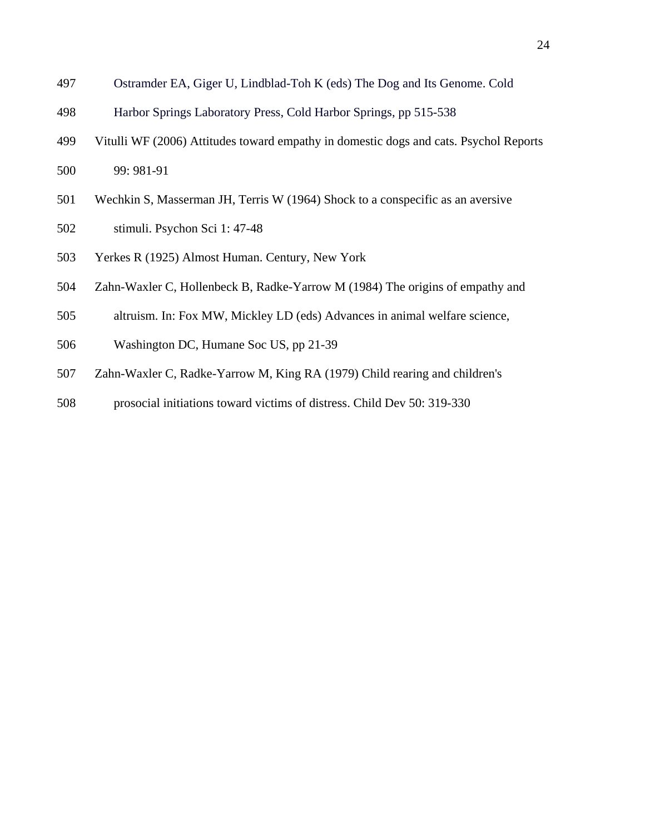- 497 Ostramder EA, Giger U, Lindblad-Toh K (eds) The Dog and Its Genome. Cold
- 498 Harbor Springs Laboratory Press, Cold Harbor Springs, pp 515-538
- 499 Vitulli WF (2006) Attitudes toward empathy in domestic dogs and cats. Psychol Reports 500 99: 981-91
- 501 Wechkin S, Masserman JH, Terris W (1964) Shock to a conspecific as an aversive
- 502 stimuli. Psychon Sci 1: 47-48
- 503 Yerkes R (1925) Almost Human. Century, New York
- 504 Zahn-Waxler C, Hollenbeck B, Radke-Yarrow M (1984) The origins of empathy and
- 505 altruism. In: Fox MW, Mickley LD (eds) Advances in animal welfare science,
- 506 Washington DC, Humane Soc US, pp 21-39
- 507 Zahn-Waxler C, Radke-Yarrow M, King RA (1979) Child rearing and children's
- 508 prosocial initiations toward victims of distress. Child Dev 50: 319-330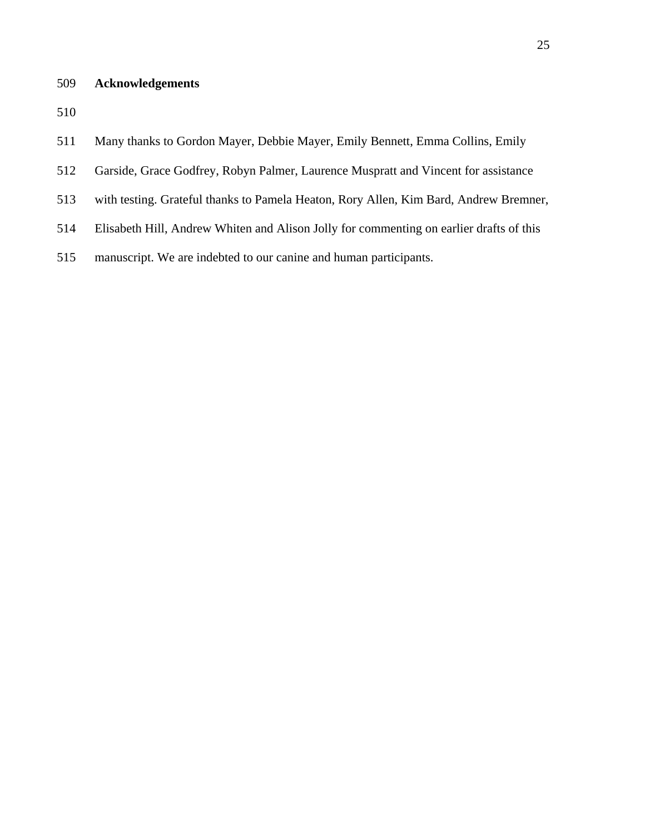## 509 **Acknowledgements**

- 510
- 511 Many thanks to Gordon Mayer, Debbie Mayer, Emily Bennett, Emma Collins, Emily
- 512 Garside, Grace Godfrey, Robyn Palmer, Laurence Muspratt and Vincent for assistance
- 513 with testing. Grateful thanks to Pamela Heaton, Rory Allen, Kim Bard, Andrew Bremner,
- 514 Elisabeth Hill, Andrew Whiten and Alison Jolly for commenting on earlier drafts of this
- 515 manuscript. We are indebted to our canine and human participants.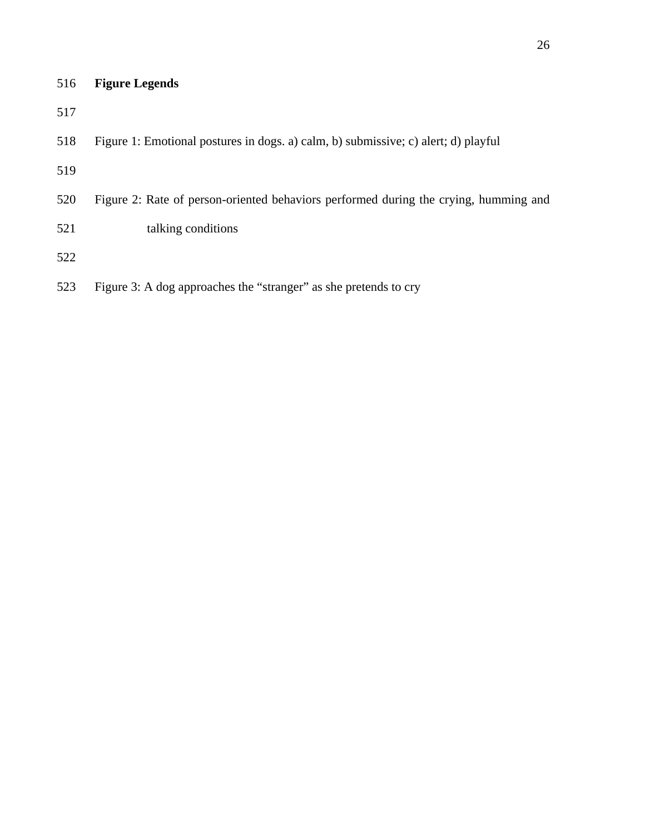| 516 | <b>Figure Legends</b>                                                                |
|-----|--------------------------------------------------------------------------------------|
| 517 |                                                                                      |
| 518 | Figure 1: Emotional postures in dogs. a) calm, b) submissive; c) alert; d) playful   |
| 519 |                                                                                      |
| 520 | Figure 2: Rate of person-oriented behaviors performed during the crying, humming and |
| 521 | talking conditions                                                                   |
| 522 |                                                                                      |
| 523 | Figure 3: A dog approaches the "stranger" as she pretends to cry                     |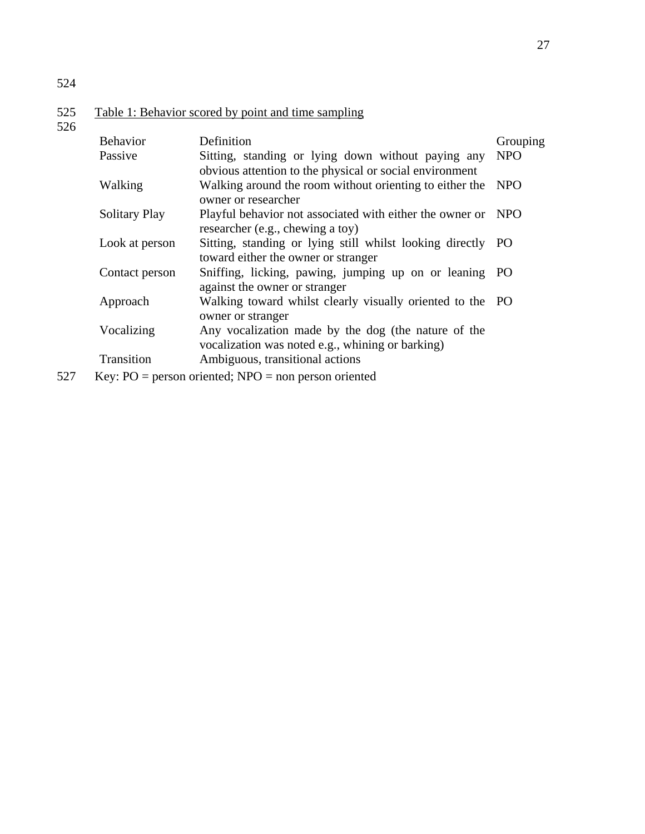# Table 1: Behavior scored by point and time sampling 526

| <b>Behavior</b>      | Definition                                                                                                    | Grouping        |
|----------------------|---------------------------------------------------------------------------------------------------------------|-----------------|
| Passive              | Sitting, standing or lying down without paying any<br>obvious attention to the physical or social environment | <b>NPO</b>      |
| Walking              | Walking around the room without orienting to either the<br>owner or researcher                                | <b>NPO</b>      |
| <b>Solitary Play</b> | Playful behavior not associated with either the owner or<br>researcher (e.g., chewing a toy)                  | NPO             |
| Look at person       | Sitting, standing or lying still whilst looking directly PO<br>toward either the owner or stranger            |                 |
| Contact person       | Sniffing, licking, pawing, jumping up on or leaning<br>against the owner or stranger                          | PO <sub>1</sub> |
| Approach             | Walking toward whilst clearly visually oriented to the PO<br>owner or stranger                                |                 |
| Vocalizing           | Any vocalization made by the dog (the nature of the<br>vocalization was noted e.g., whining or barking)       |                 |
| Transition           | Ambiguous, transitional actions                                                                               |                 |
| -- --                |                                                                                                               |                 |

527 Key: PO = person oriented; NPO = non person oriented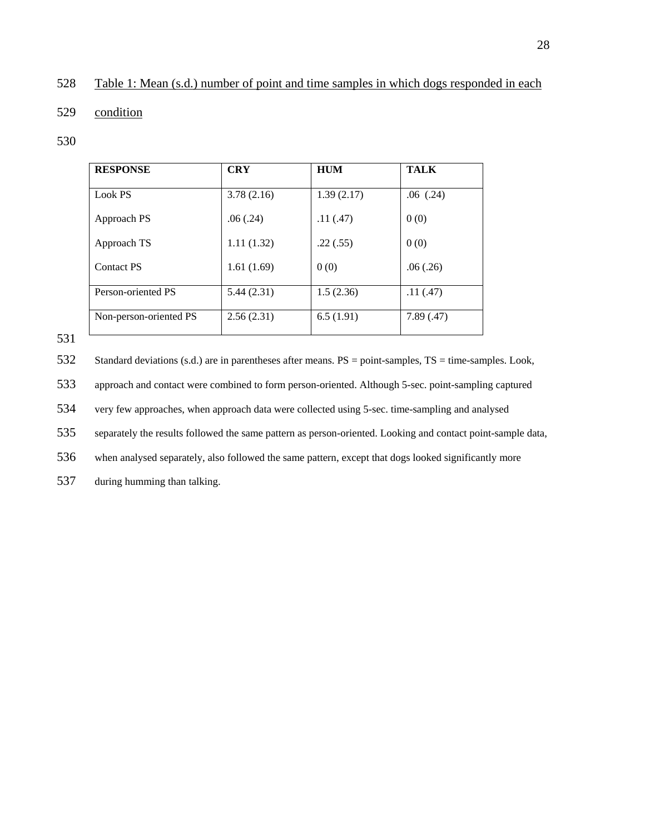## 528 Table 1: Mean (s.d.) number of point and time samples in which dogs responded in each

### 529 condition

530

| <b>RESPONSE</b>        | <b>CRY</b> | <b>HUM</b> | <b>TALK</b>   |
|------------------------|------------|------------|---------------|
|                        |            |            |               |
| Look PS                | 3.78(2.16) | 1.39(2.17) | $.06$ $(.24)$ |
| Approach PS            | .06(.24)   | .11(.47)   | 0(0)          |
| Approach TS            | 1.11(1.32) | .22(.55)   | 0(0)          |
| <b>Contact PS</b>      | 1.61(1.69) | 0(0)       | .06(.26)      |
| Person-oriented PS     | 5.44(2.31) | 1.5(2.36)  | .11(.47)      |
| Non-person-oriented PS | 2.56(2.31) | 6.5(1.91)  | 7.89(.47)     |

531

532 Standard deviations (s.d.) are in parentheses after means. PS = point-samples, TS = time-samples. Look,

533 approach and contact were combined to form person-oriented. Although 5-sec. point-sampling captured

534 very few approaches, when approach data were collected using 5-sec. time-sampling and analysed

535 separately the results followed the same pattern as person-oriented. Looking and contact point-sample data,

536 when analysed separately, also followed the same pattern, except that dogs looked significantly more

537 during humming than talking.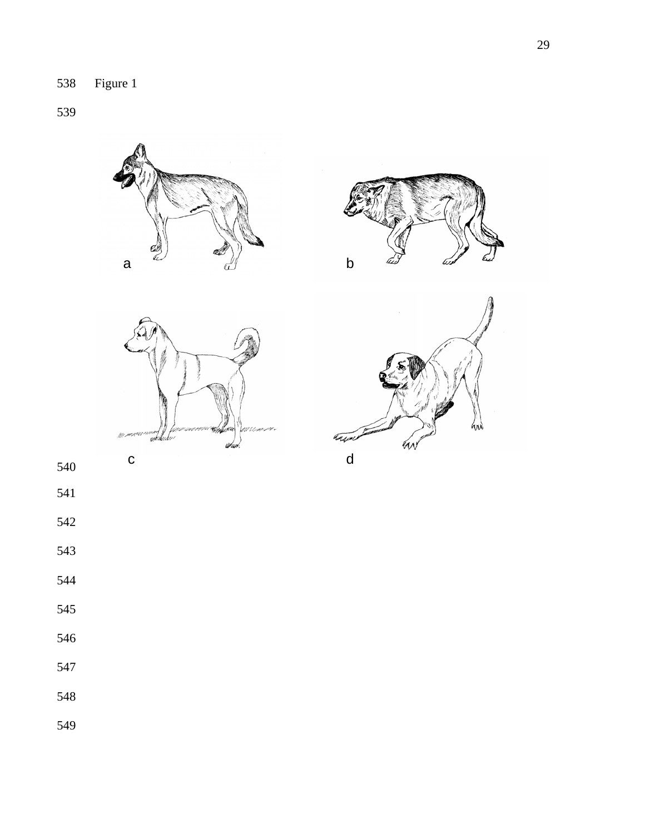





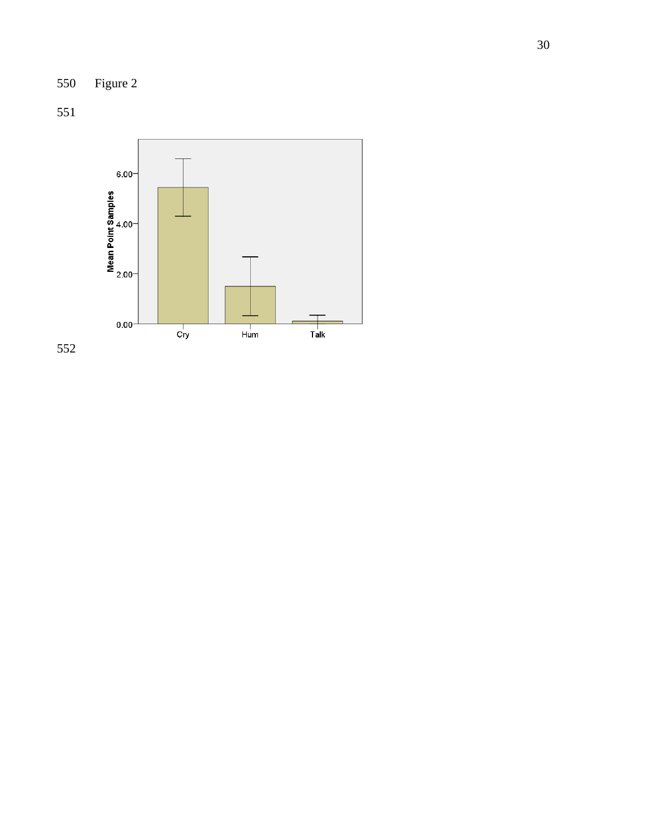550 Figure 2